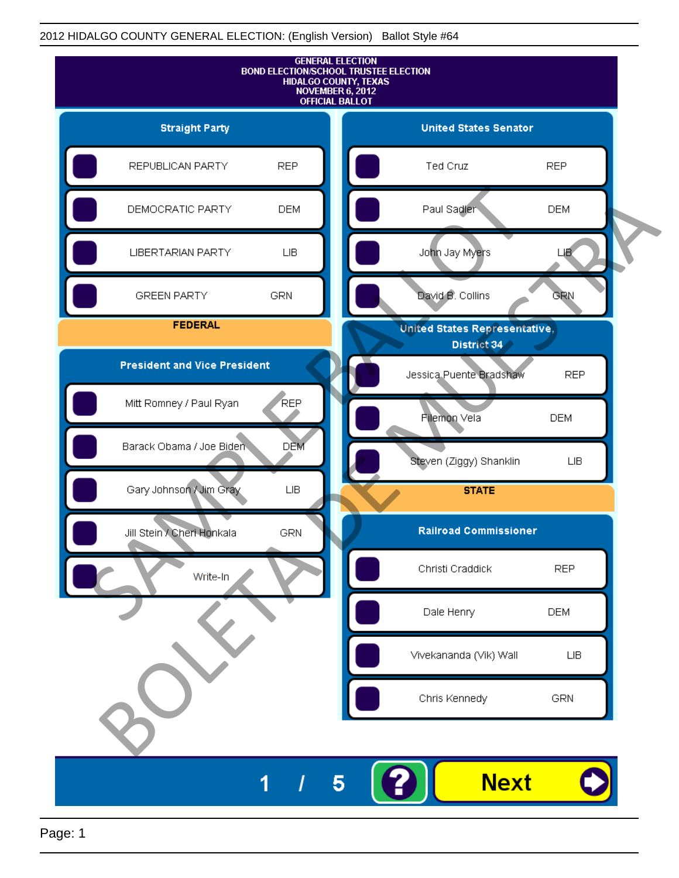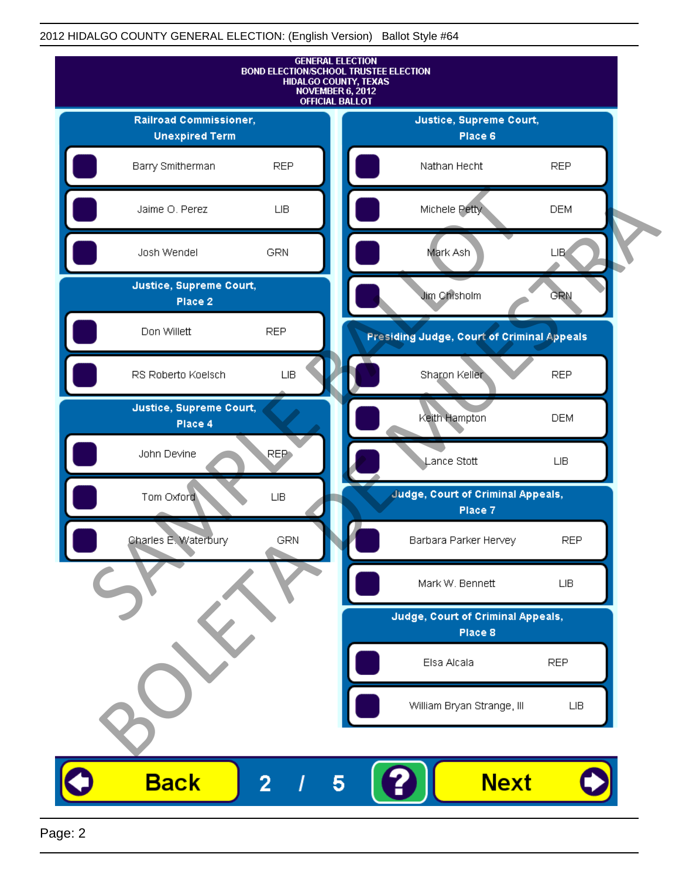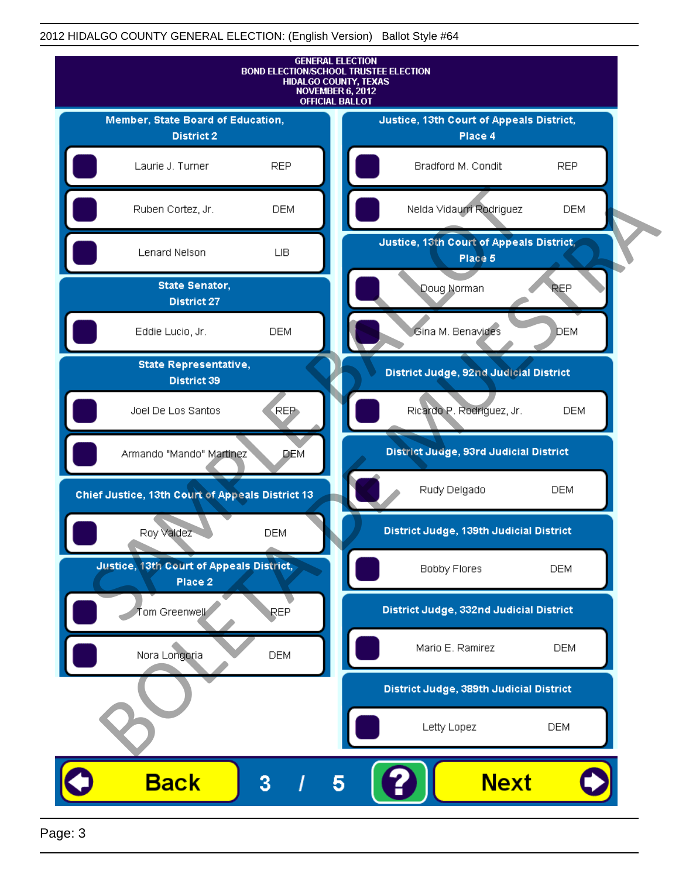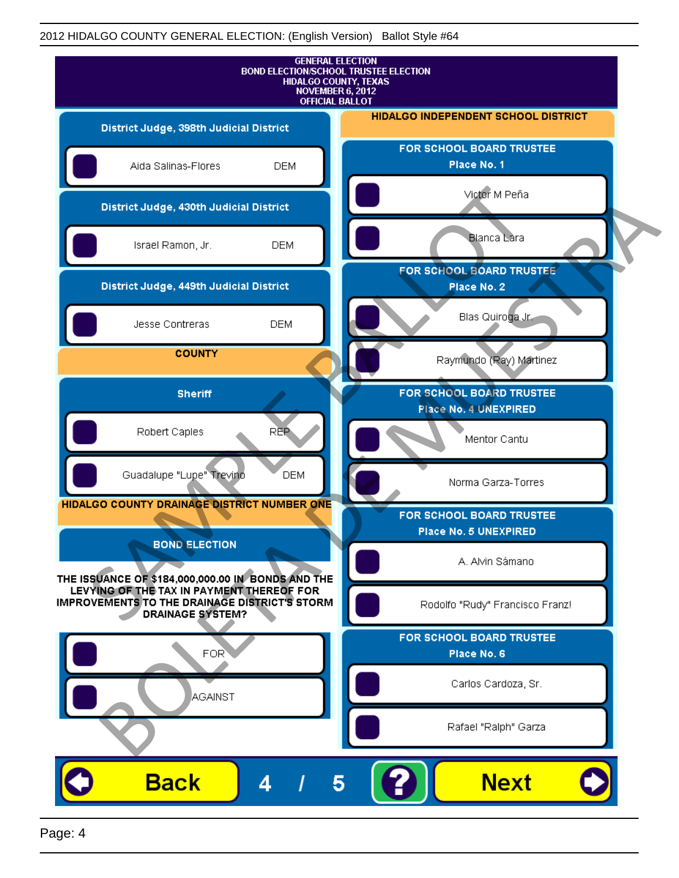

Page: 4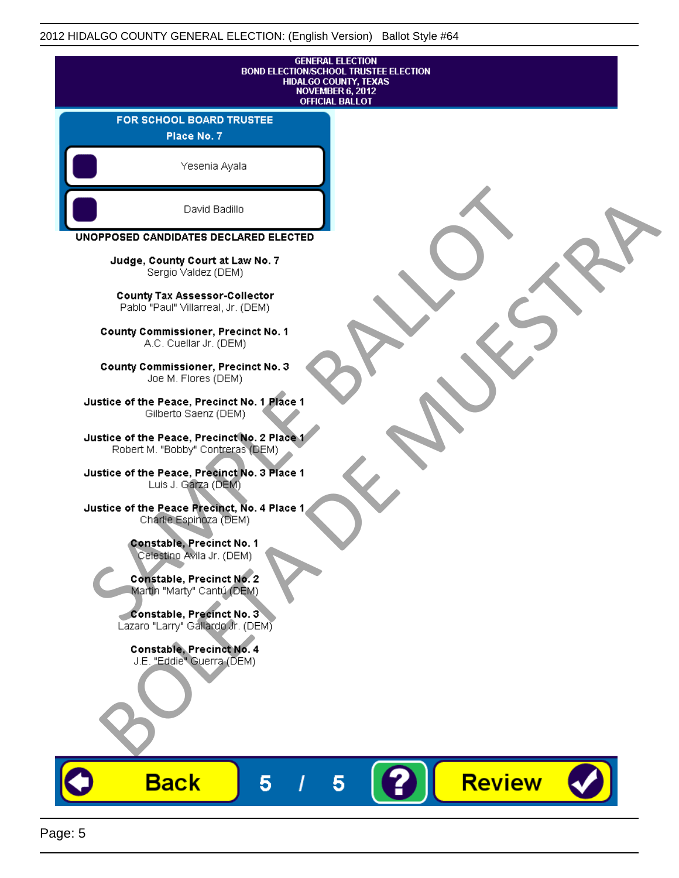| <b>GENERAL ELECTION</b><br><b>BOND ELECTION/SCHOOL TRUSTEE ELECTION</b><br><b>HIDALGO COUNTY, TEXAS</b><br>NOVEMBER 6, 2012<br><b>OFFICIAL BALLOT</b> |
|-------------------------------------------------------------------------------------------------------------------------------------------------------|
| FOR SCHOOL BOARD TRUSTEE<br>Place No. 7                                                                                                               |
| Yesenia Ayala                                                                                                                                         |
| David Badillo                                                                                                                                         |
| UNOPPOSED CANDIDATES DECLARED ELECTED                                                                                                                 |
| Judge, County Court at Law No. 7<br>Sergio Valdez (DEM)                                                                                               |
| <b>County Tax Assessor-Collector</b><br>Pablo "Paul" Villarreal, Jr. (DEM)                                                                            |
| County Commissioner, Precinct No. 1<br>A.C. Cuellar Jr. (DEM)                                                                                         |
| County Commissioner, Precinct No. 3<br>Joe M. Flores (DEM)                                                                                            |
| Justice of the Peace, Precinct No. 1 Place 1<br>Gilberto Saenz (DEM)                                                                                  |
| Justice of the Peace, Precinct No. 2 Place 1<br>Robert M. "Bobby" Contreras (DEM)                                                                     |
| Justice of the Peace, Precinct No. 3 Place 1<br>Luis J. Garza (DEM)                                                                                   |
| Justice of the Peace Precinct, No. 4 Place 1<br>Charlie Espinoza (DEM)                                                                                |
| Constable, Precinct No. 1<br>Celestino Avila Jr. (DEM)                                                                                                |
| Constable, Precinct No. 2<br>Martin "Marty" Cantú (DEM)                                                                                               |
| Constable, Precinct No. 3<br>Lazaro "Larry" Gallardo Jr. (DEM)                                                                                        |
| Constable, Precinct No. 4<br>J.E. "Eddie" Guerra (DEM)                                                                                                |
|                                                                                                                                                       |
| <b>Review</b><br><b>Back</b><br>5<br>5                                                                                                                |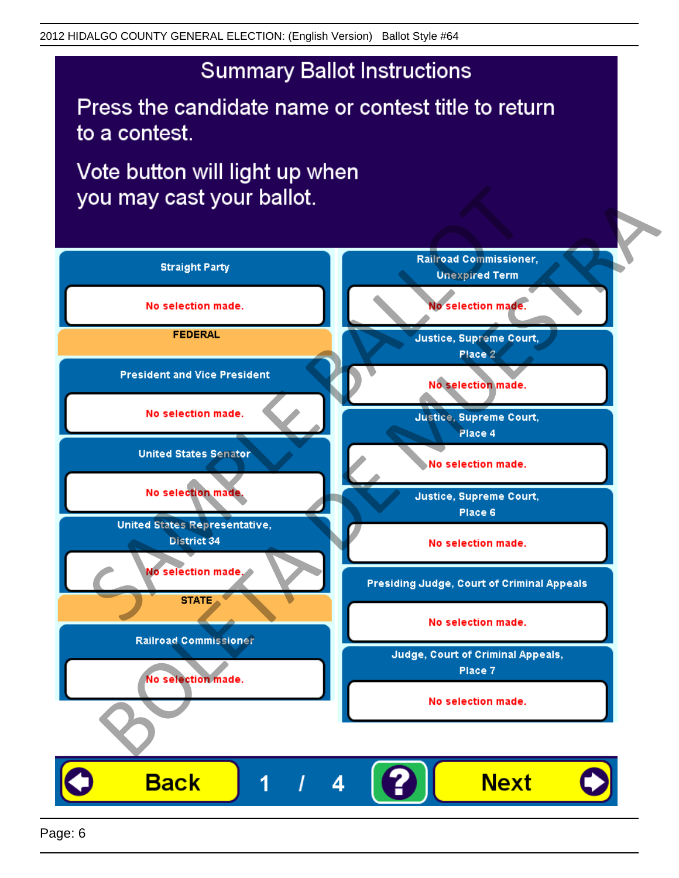Press the candidate name or contest title to return to a contest.

Vote button will light up when

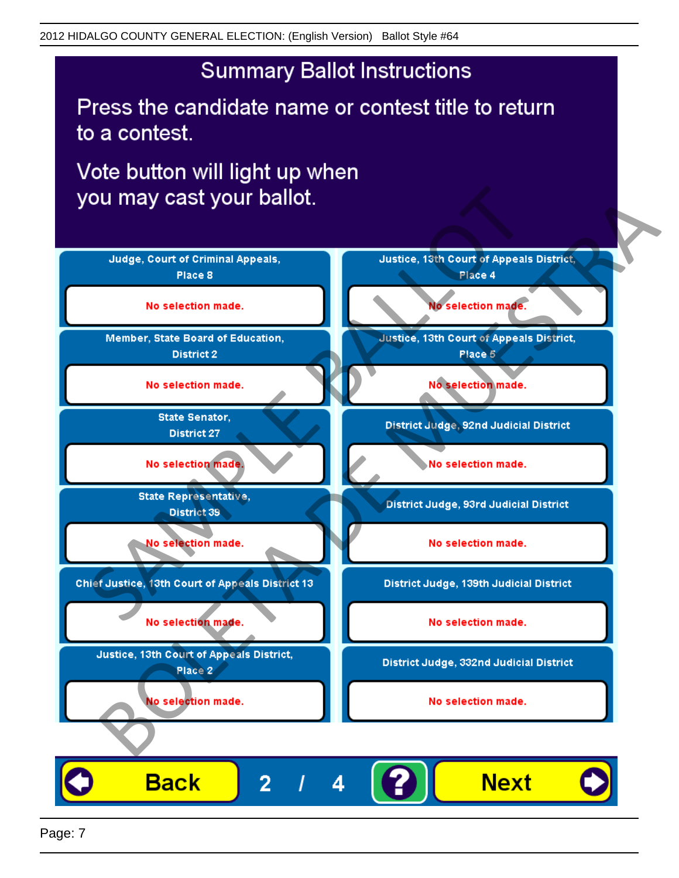Press the candidate name or contest title to return to a contest.

Vote button will light up when

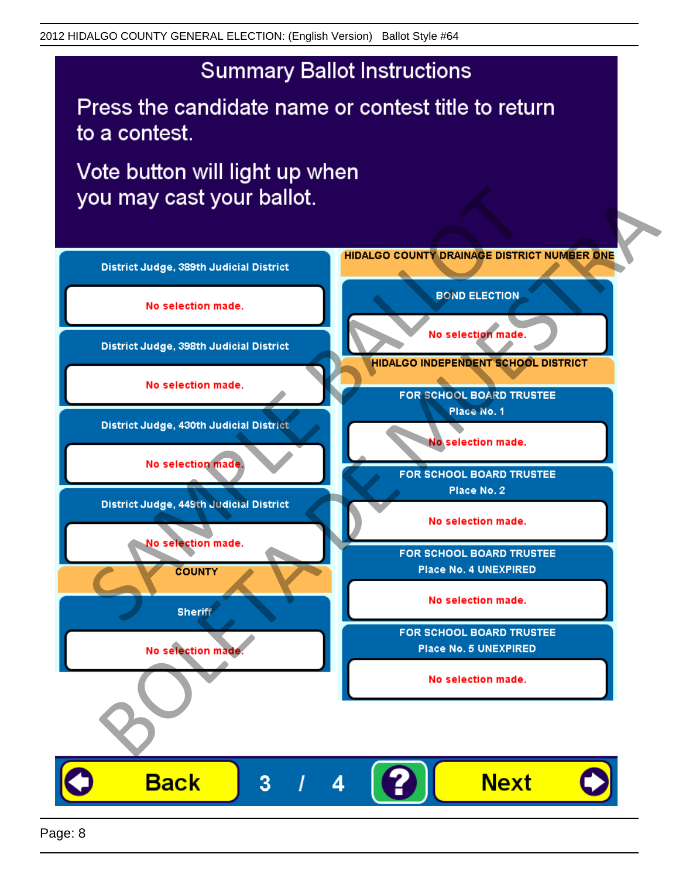Press the candidate name or contest title to return to a contest.

Vote button will light up when